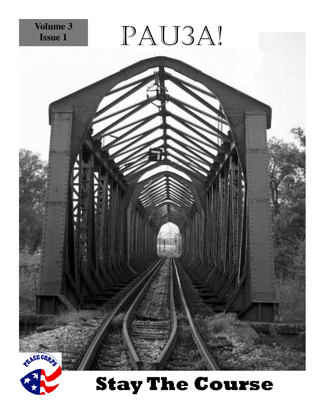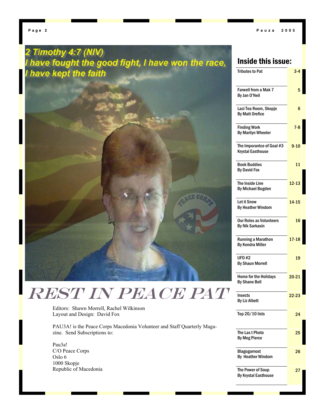# 2 Timothy 4:7 (NIV) have fought the good fight, I have won the race, have kept the faith

# Inside this issue:

| <b>Tributes to Pat</b>                                | $3 - 4$   |
|-------------------------------------------------------|-----------|
| <b>Farwell from a Mak 7</b><br>By Jan O'Neil          | 5         |
| Laci Tea Room, Skopje<br><b>By Matt Orefice</b>       | 6         |
| <b>Finding Work</b><br><b>By Marilyn Wheeler</b>      | $7 - 8$   |
| The Imporantce of Goal #3<br><b>Krystal Easthouse</b> | $9 - 10$  |
| Book Buddies<br><b>By David Fox</b>                   | 11        |
| The Inside Line<br><b>By Michael Bogden</b>           | $12 - 13$ |
| Let it Snow<br><b>By Heather Windom</b>               | $14 - 15$ |
| Our Roles as Volunteers<br><b>By Nik Sarkasin</b>     | 16        |
| <b>Running a Marathon</b><br><b>By Kendra Miller</b>  | $17 - 18$ |
| UFO #2<br><b>By Shaun Morrell</b>                     | 19        |
| <b>Home for the Holidays</b><br><b>By Shane Bell</b>  | $20 - 21$ |
| Insects<br><b>By Liz Albett</b>                       | $22 - 23$ |
| Top 20/10 lists                                       | 24        |
| The Las t Photo<br><b>By Meg Pierce</b>               | 25        |
| Blagogarnost<br><b>By Heather Windom</b>              | 26        |
| The Power of Soup<br><b>By Krystal Easthouse</b>      | 27        |
|                                                       |           |

Editors: Shawn Morrell, Rachel Wilkinson Layout and Design: David Fox

PAU3A! is the Peace Corps Macedonia Volunteer and Staff Quarterly Magazine. Send Subscriptions to:

REST IN PEACE PAT

Pau3a! C/O Peace Corps Oslo 6 1000 Skopje Republic of Macedonia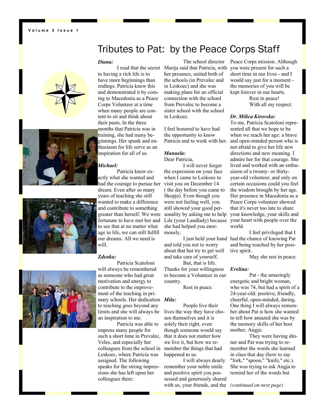**Volume 3 Issue 1** 

# Tributes to Pat: by the Peace Corps Staff

### *Diana:*

to having a rich life is to have more beginnings than endings. Patricia knew this and demonstrated it by coming to Macedonia as a Peace Corps Volunteer at a time when many people are content to sit and think about their pasts. In the three months that Patricia was in training, she had many beginnings. Her spunk and enthusiasm for life serve as an inspiration for all of us.

### *Michael:*

 Patricia knew exactly what she wanted and had the courage to pursue her dream. Even after so many years of teaching she still wanted to make a difference and contribute to something greater than herself. We were fortunate to have met her and to see that at no matter what age in life, we can still fulfill our dreams. All we need is will.

# *Zdenka:*

 Patricia Scatoloni will always be remembered as someone who had great motivation and energy to contribute to the improvement of the teaching in primary schools. Her dedication *Mila:*  to teaching goes beyond any limits and she will always be an inspiration to me.

 Patricia was able to impress many people for such a short time in Prevalec, Veles, and especially her colleagues from the school in Leskoec, where Patricia was assigned. The following speaks for the strong impressions she has left upon her colleagues there:

 I read that the secret Marija said that Patricia, with The school director her presence, united both of the schools (in Prevalec and in Leskoec) and she was making plans for an official connection with the school from Prevalec to become a sister school with the school in Leskoec.

> I feel honored to have had the opportunity to know Patricia and to work with her.

### *Manuela:*  Dear Patricia,

 I will never forget the expression on your face when I came to Leskoec to visit you on December 14 ( the day before you came to Skopje). Even though you were not feeling well, you still showed your good personality by asking me to help Lile (your Landlady) because she had helped you enormously.

and told you not to worry about that but try to get well and take care of yourself.

 But, that is life. Thanks for your willingness to become a Volunteer in our country.

Rest in peace.

 People live their lives the way they have chosen themselves and it is solely their right, even though someone would say that it does not matter how we live it, but how we remember the things that had happened to us.

 I will always dearly remember your noble smile and positive spirit you possessed and generously shared with us, your friends, and the *(continued on next page)* 

Peace Corps mission. Although you were present for such a short time in our lives - and I would say just for a moment the memories of you will be kept forever in our hearts.

> Rest in peace! With all my respect.

### *Dr. Milica Kirovska:*

To me, Patricia Scatoloni represented all that we hope to be when we reach her age: a brave and open-minded person who is not afraid to give her life new directions and new meaning. I admire her for that courage. She lived and worked with an enthusiasm of a twenty- or thirtyyear-old volunteer, and only on certain occasions could you feel the wisdom brought by her age. Her presence in Macedonia as a Peace Corps volunteer showed that it's never too late to share your knowledge, your skills and your heart with people over the world.

 I just held your hand had the chance of knowing Pat I feel privileged that I and being touched by her positive spirit.

May she rest in peace.

### *Evelina:*

 Pat - the amazingly energetic and bright woman, who was 74, but had a spirit of a 24-year-old: positive, friendly, cheerful, open-minded, daring. One thing I will always remember about Pat is how she wanted to tell how amazed she was by the memory skills of her host mother, Angja:

 They were having dinner and Pat was trying to remember the words she learned in class that day (how to say "fork," "spoon," "knife," etc.). She was trying to ask Angja to remind her of the words but